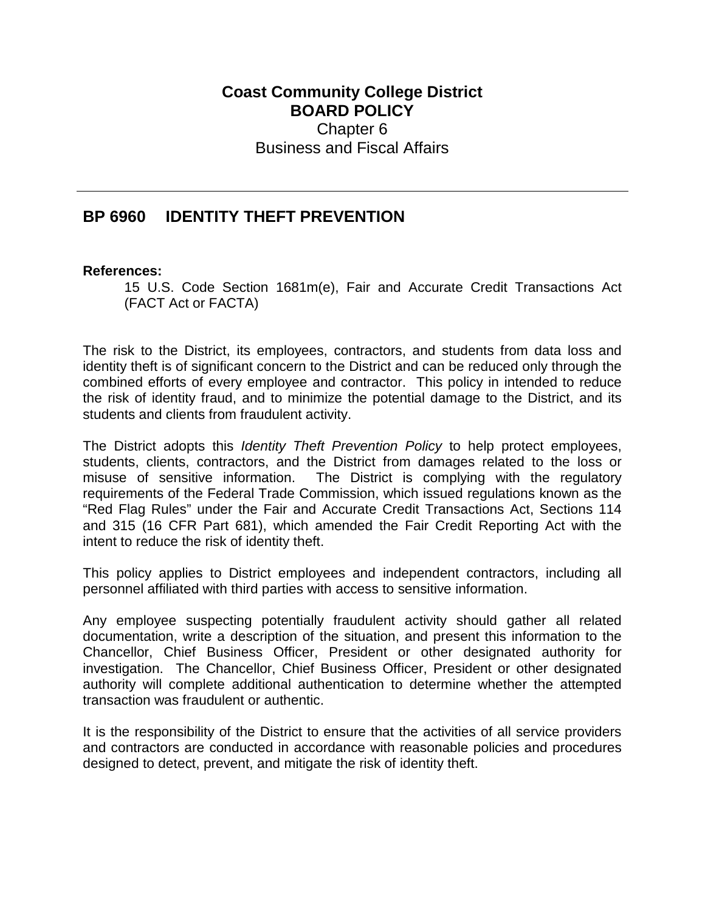## **Coast Community College District BOARD POLICY** Chapter 6 Business and Fiscal Affairs

## **BP 6960 IDENTITY THEFT PREVENTION**

## **References:**

15 U.S. Code Section 1681m(e), Fair and Accurate Credit Transactions Act (FACT Act or FACTA)

The risk to the District, its employees, contractors, and students from data loss and identity theft is of significant concern to the District and can be reduced only through the combined efforts of every employee and contractor. This policy in intended to reduce the risk of identity fraud, and to minimize the potential damage to the District, and its students and clients from fraudulent activity.

The District adopts this *Identity Theft Prevention Policy* to help protect employees, students, clients, contractors, and the District from damages related to the loss or misuse of sensitive information. The District is complying with the regulatory requirements of the Federal Trade Commission, which issued regulations known as the "Red Flag Rules" under the Fair and Accurate Credit Transactions Act, Sections 114 and 315 (16 CFR Part 681), which amended the Fair Credit Reporting Act with the intent to reduce the risk of identity theft.

This policy applies to District employees and independent contractors, including all personnel affiliated with third parties with access to sensitive information.

Any employee suspecting potentially fraudulent activity should gather all related documentation, write a description of the situation, and present this information to the Chancellor, Chief Business Officer, President or other designated authority for investigation. The Chancellor, Chief Business Officer, President or other designated authority will complete additional authentication to determine whether the attempted transaction was fraudulent or authentic.

It is the responsibility of the District to ensure that the activities of all service providers and contractors are conducted in accordance with reasonable policies and procedures designed to detect, prevent, and mitigate the risk of identity theft.